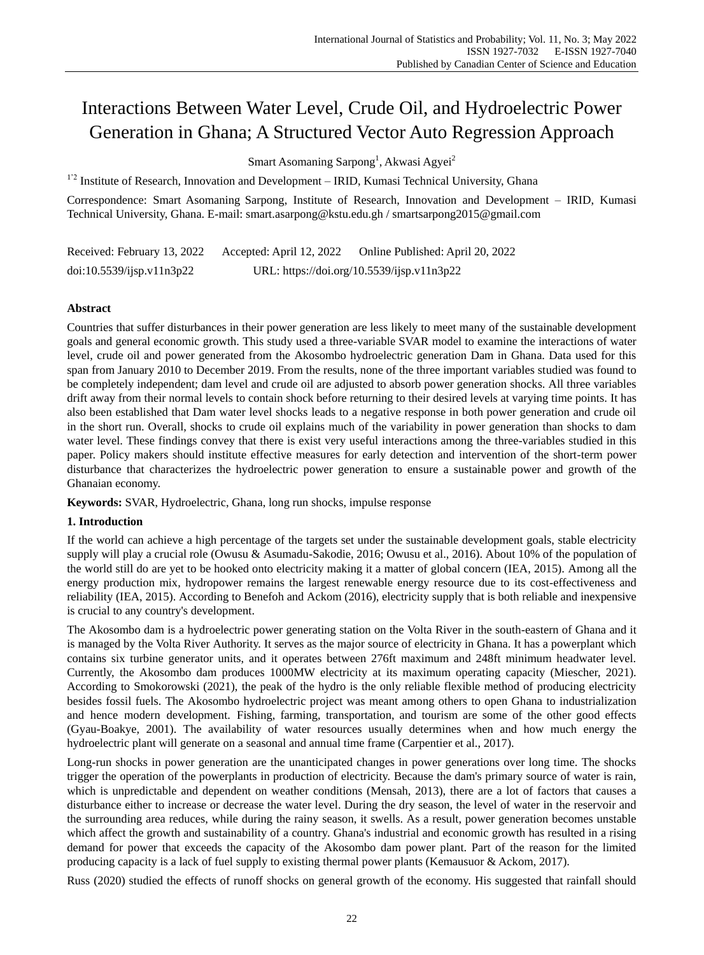# Interactions Between Water Level, Crude Oil, and Hydroelectric Power Generation in Ghana; A Structured Vector Auto Regression Approach

Smart Asomaning Sarpong<sup>1</sup>, Akwasi Agyei<sup>2</sup>

 $1'$ <sup>2</sup> Institute of Research, Innovation and Development – IRID, Kumasi Technical University, Ghana

Correspondence: Smart Asomaning Sarpong, Institute of Research, Innovation and Development – IRID, Kumasi Technical University, Ghana. E-mail: [smart.asarpong@kstu.edu.gh](mailto:smart.asarpong@kstu.edu.gh) / [smartsarpong2015@gmail.com](mailto:smartsarpong2015@gmail.com)

Received: February 13, 2022 Accepted: April 12, 2022 Online Published: April 20, 2022 doi:10.5539/ijsp.v11n3p22 URL: https://doi.org/10.5539/ijsp.v11n3p22

# **Abstract**

Countries that suffer disturbances in their power generation are less likely to meet many of the sustainable development goals and general economic growth. This study used a three-variable SVAR model to examine the interactions of water level, crude oil and power generated from the Akosombo hydroelectric generation Dam in Ghana. Data used for this span from January 2010 to December 2019. From the results, none of the three important variables studied was found to be completely independent; dam level and crude oil are adjusted to absorb power generation shocks. All three variables drift away from their normal levels to contain shock before returning to their desired levels at varying time points. It has also been established that Dam water level shocks leads to a negative response in both power generation and crude oil in the short run. Overall, shocks to crude oil explains much of the variability in power generation than shocks to dam water level. These findings convey that there is exist very useful interactions among the three-variables studied in this paper. Policy makers should institute effective measures for early detection and intervention of the short-term power disturbance that characterizes the hydroelectric power generation to ensure a sustainable power and growth of the Ghanaian economy.

**Keywords:** SVAR, Hydroelectric, Ghana, long run shocks, impulse response

# **1. Introduction**

If the world can achieve a high percentage of the targets set under the sustainable development goals, stable electricity supply will play a crucial role (Owusu & Asumadu-Sakodie, 2016; Owusu et al., 2016). About 10% of the population of the world still do are yet to be hooked onto electricity making it a matter of global concern (IEA, 2015). Among all the energy production mix, hydropower remains the largest renewable energy resource due to its cost-effectiveness and reliability (IEA, 2015). According to Benefoh and Ackom (2016), electricity supply that is both reliable and inexpensive is crucial to any country's development.

The Akosombo dam is a hydroelectric power generating station on the Volta River in the south-eastern of Ghana and it is managed by the Volta River Authority. It serves as the major source of electricity in Ghana. It has a powerplant which contains six turbine generator units, and it operates between 276ft maximum and 248ft minimum headwater level. Currently, the Akosombo dam produces 1000MW electricity at its maximum operating capacity (Miescher, 2021). According to Smokorowski (2021), the peak of the hydro is the only reliable flexible method of producing electricity besides fossil fuels. The Akosombo hydroelectric project was meant among others to open Ghana to industrialization and hence modern development. Fishing, farming, transportation, and tourism are some of the other good effects (Gyau-Boakye, 2001). The availability of water resources usually determines when and how much energy the hydroelectric plant will generate on a seasonal and annual time frame (Carpentier et al., 2017).

Long-run shocks in power generation are the unanticipated changes in power generations over long time. The shocks trigger the operation of the powerplants in production of electricity. Because the dam's primary source of water is rain, which is unpredictable and dependent on weather conditions (Mensah, 2013), there are a lot of factors that causes a disturbance either to increase or decrease the water level. During the dry season, the level of water in the reservoir and the surrounding area reduces, while during the rainy season, it swells. As a result, power generation becomes unstable which affect the growth and sustainability of a country. Ghana's industrial and economic growth has resulted in a rising demand for power that exceeds the capacity of the Akosombo dam power plant. Part of the reason for the limited producing capacity is a lack of fuel supply to existing thermal power plants (Kemausuor & Ackom, 2017).

Russ (2020) studied the effects of runoff shocks on general growth of the economy. His suggested that rainfall should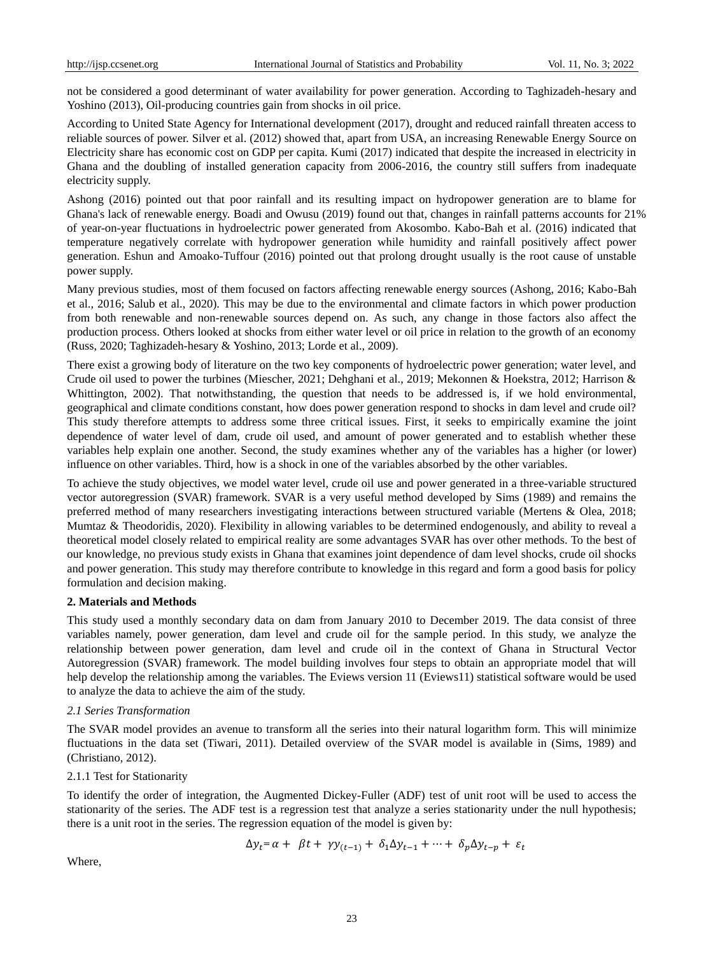not be considered a good determinant of water availability for power generation. According to Taghizadeh-hesary and Yoshino (2013), Oil-producing countries gain from shocks in oil price.

According to United State Agency for International development (2017), drought and reduced rainfall threaten access to reliable sources of power. Silver et al. (2012) showed that, apart from USA, an increasing Renewable Energy Source on Electricity share has economic cost on GDP per capita. Kumi (2017) indicated that despite the increased in electricity in Ghana and the doubling of installed generation capacity from 2006-2016, the country still suffers from inadequate electricity supply.

Ashong (2016) pointed out that poor rainfall and its resulting impact on hydropower generation are to blame for Ghana's lack of renewable energy. Boadi and Owusu (2019) found out that, changes in rainfall patterns accounts for 21% of year-on-year fluctuations in hydroelectric power generated from Akosombo. Kabo-Bah et al. (2016) indicated that temperature negatively correlate with hydropower generation while humidity and rainfall positively affect power generation. Eshun and Amoako-Tuffour (2016) pointed out that prolong drought usually is the root cause of unstable power supply.

Many previous studies, most of them focused on factors affecting renewable energy sources (Ashong, 2016; Kabo-Bah et al., 2016; Salub et al., 2020). This may be due to the environmental and climate factors in which power production from both renewable and non-renewable sources depend on. As such, any change in those factors also affect the production process. Others looked at shocks from either water level or oil price in relation to the growth of an economy (Russ, 2020; Taghizadeh-hesary & Yoshino, 2013; Lorde et al., 2009).

There exist a growing body of literature on the two key components of hydroelectric power generation; water level, and Crude oil used to power the turbines (Miescher, 2021; Dehghani et al., 2019; Mekonnen & Hoekstra, 2012; Harrison & Whittington, 2002). That notwithstanding, the question that needs to be addressed is, if we hold environmental, geographical and climate conditions constant, how does power generation respond to shocks in dam level and crude oil? This study therefore attempts to address some three critical issues. First, it seeks to empirically examine the joint dependence of water level of dam, crude oil used, and amount of power generated and to establish whether these variables help explain one another. Second, the study examines whether any of the variables has a higher (or lower) influence on other variables. Third, how is a shock in one of the variables absorbed by the other variables.

To achieve the study objectives, we model water level, crude oil use and power generated in a three-variable structured vector autoregression (SVAR) framework. SVAR is a very useful method developed by Sims (1989) and remains the preferred method of many researchers investigating interactions between structured variable (Mertens & Olea, 2018; Mumtaz & Theodoridis, 2020). Flexibility in allowing variables to be determined endogenously, and ability to reveal a theoretical model closely related to empirical reality are some advantages SVAR has over other methods. To the best of our knowledge, no previous study exists in Ghana that examines joint dependence of dam level shocks, crude oil shocks and power generation. This study may therefore contribute to knowledge in this regard and form a good basis for policy formulation and decision making.

## **2. Materials and Methods**

This study used a monthly secondary data on dam from January 2010 to December 2019. The data consist of three variables namely, power generation, dam level and crude oil for the sample period. In this study, we analyze the relationship between power generation, dam level and crude oil in the context of Ghana in Structural Vector Autoregression (SVAR) framework. The model building involves four steps to obtain an appropriate model that will help develop the relationship among the variables. The Eviews version 11 (Eviews11) statistical software would be used to analyze the data to achieve the aim of the study.

## *2.1 Series Transformation*

The SVAR model provides an avenue to transform all the series into their natural logarithm form. This will minimize fluctuations in the data set (Tiwari, 2011). Detailed overview of the SVAR model is available in (Sims, 1989) and (Christiano, 2012).

## 2.1.1 Test for Stationarity

To identify the order of integration, the Augmented Dickey-Fuller (ADF) test of unit root will be used to access the stationarity of the series. The ADF test is a regression test that analyze a series stationarity under the null hypothesis; there is a unit root in the series. The regression equation of the model is given by:

$$
\Delta y_t = \alpha + \beta t + \gamma y_{(t-1)} + \delta_1 \Delta y_{t-1} + \dots + \delta_p \Delta y_{t-p} + \varepsilon_t
$$

Where,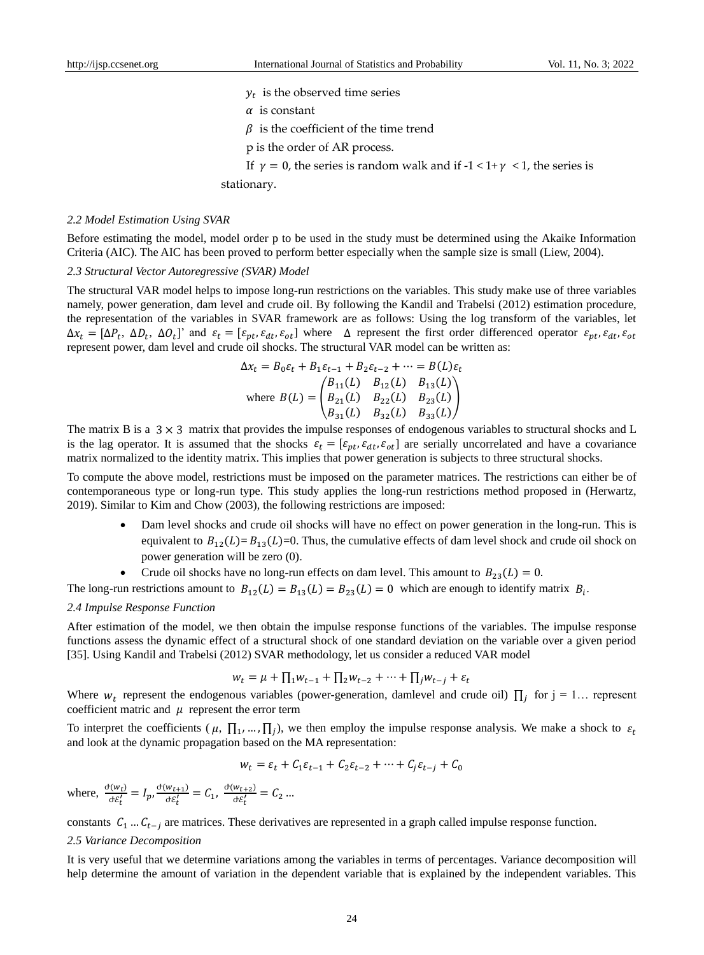$y_t$  is the observed time series

 $\alpha$  is constant

 $\beta$  is the coefficient of the time trend

- p is the order of AR process.
- If  $\nu = 0$ , the series is random walk and if  $-1 < 1 + \gamma < 1$ , the series is

stationary.

#### *2.2 Model Estimation Using SVAR*

Before estimating the model, model order p to be used in the study must be determined using the Akaike Information Criteria (AIC). The AIC has been proved to perform better especially when the sample size is small (Liew, 2004).

#### *2.3 Structural Vector Autoregressive (SVAR) Model*

The structural VAR model helps to impose long-run restrictions on the variables. This study make use of three variables namely, power generation, dam level and crude oil. By following the Kandil and Trabelsi (2012) estimation procedure, the representation of the variables in SVAR framework are as follows: Using the log transform of the variables, let  $\Delta x_t = [\Delta P_t, \Delta D_t, \Delta Q_t]$ ' and  $\varepsilon_t = [\varepsilon_{pt}, \varepsilon_{dt}, \varepsilon_{ot}]$  where  $\Delta$  represent the first order differenced operator  $\varepsilon_{pt}, \varepsilon_{dt}, \varepsilon_{ot}$ represent power, dam level and crude oil shocks. The structural VAR model can be written as:

$$
\Delta x_t = B_0 \varepsilon_t + B_1 \varepsilon_{t-1} + B_2 \varepsilon_{t-2} + \dots = B(L) \varepsilon_t
$$
  
where  $B(L) = \begin{pmatrix} B_{11}(L) & B_{12}(L) & B_{13}(L) \\ B_{21}(L) & B_{22}(L) & B_{23}(L) \\ B_{31}(L) & B_{32}(L) & B_{33}(L) \end{pmatrix}$ 

The matrix B is a  $3 \times 3$  matrix that provides the impulse responses of endogenous variables to structural shocks and L is the lag operator. It is assumed that the shocks  $\varepsilon_t = [\varepsilon_{nt}, \varepsilon_{dt}, \varepsilon_{ot}]$  are serially uncorrelated and have a covariance matrix normalized to the identity matrix. This implies that power generation is subjects to three structural shocks.

To compute the above model, restrictions must be imposed on the parameter matrices. The restrictions can either be of contemporaneous type or long-run type. This study applies the long-run restrictions method proposed in (Herwartz, 2019). Similar to Kim and Chow (2003), the following restrictions are imposed:

- Dam level shocks and crude oil shocks will have no effect on power generation in the long-run. This is equivalent to  $B_{12}(L)= B_{13}(L)=0$ . Thus, the cumulative effects of dam level shock and crude oil shock on power generation will be zero (0).
- Crude oil shocks have no long-run effects on dam level. This amount to  $B_{23}(L) = 0$ .

The long-run restrictions amount to  $B_{12}(L) = B_{13}(L) = B_{23}(L) = 0$  which are enough to identify matrix  $B_i$ .

## *2.4 Impulse Response Function*

After estimation of the model, we then obtain the impulse response functions of the variables. The impulse response functions assess the dynamic effect of a structural shock of one standard deviation on the variable over a given period [35]. Using Kandil and Trabelsi (2012) SVAR methodology, let us consider a reduced VAR model

$$
w_t = \mu + \prod_{1} w_{t-1} + \prod_{2} w_{t-2} + \dots + \prod_{j} w_{t-j} + \varepsilon_t
$$

Where  $w_t$  represent the endogenous variables (power-generation, damlevel and crude oil)  $\prod_j$  for  $j = 1...$  represent coefficient matric and  $\mu$  represent the error term

To interpret the coefficients ( $\mu$ ,  $\prod_1$ , ...,  $\prod_j$ ), we then employ the impulse response analysis. We make a shock to  $\varepsilon_t$ and look at the dynamic propagation based on the MA representation:

$$
w_t = \varepsilon_t + C_1 \varepsilon_{t-1} + C_2 \varepsilon_{t-2} + \dots + C_j \varepsilon_{t-j} + C_0
$$

where,  $\frac{\partial(w_t)}{\partial \mathcal{E}'_t} = I_p$ ,  $\frac{\partial(w_{t+1})}{\partial \mathcal{E}'_t}$  $\frac{w_{t+1}}{d\xi'_t} = C_1, \frac{d(w_{t+2})}{d\xi'_t}$  $\frac{W_t+2j}{\partial \mathcal{E}'_t} = C_2 ...$ 

constants  $C_1 ... C_{t-j}$  are matrices. These derivatives are represented in a graph called impulse response function.

#### *2.5 Variance Decomposition*

It is very useful that we determine variations among the variables in terms of percentages. Variance decomposition will help determine the amount of variation in the dependent variable that is explained by the independent variables. This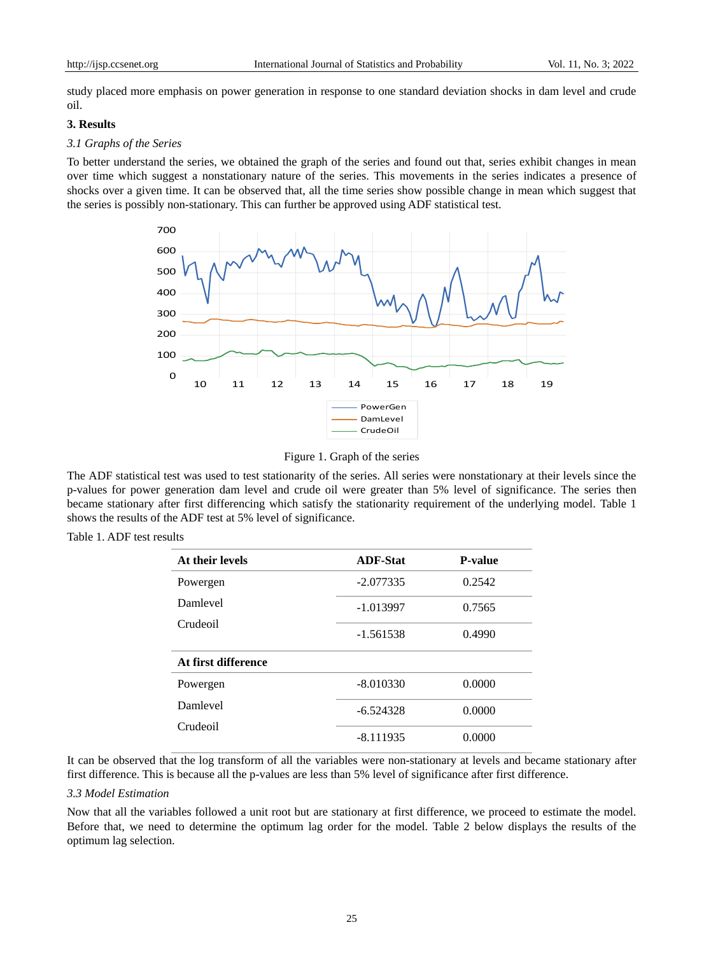study placed more emphasis on power generation in response to one standard deviation shocks in dam level and crude oil.

## **3. Results**

#### *3.1 Graphs of the Series*

To better understand the series, we obtained the graph of the series and found out that, series exhibit changes in mean over time which suggest a nonstationary nature of the series. This movements in the series indicates a presence of shocks over a given time. It can be observed that, all the time series show possible change in mean which suggest that the series is possibly non-stationary. This can further be approved using ADF statistical test.



Figure 1. Graph of the series

The ADF statistical test was used to test stationarity of the series. All series were nonstationary at their levels since the p-values for power generation dam level and crude oil were greater than 5% level of significance. The series then became stationary after first differencing which satisfy the stationarity requirement of the underlying model. Table 1 shows the results of the ADF test at 5% level of significance.

| At their levels     | <b>ADF-Stat</b> | <b>P-value</b> |
|---------------------|-----------------|----------------|
| Powergen            | $-2.077335$     | 0.2542         |
| Damlevel            | $-1.013997$     | 0.7565         |
| Crudeoil            | $-1.561538$     | 0.4990         |
| At first difference |                 |                |
| Powergen            | $-8.010330$     | 0.0000         |
| Damleyel            | $-6.524328$     | 0.0000         |
| Crudeoil            | $-8.111935$     | 0.0000         |

Table 1. ADF test results

It can be observed that the log transform of all the variables were non-stationary at levels and became stationary after first difference. This is because all the p-values are less than 5% level of significance after first difference.

## *3.3 Model Estimation*

Now that all the variables followed a unit root but are stationary at first difference, we proceed to estimate the model. Before that, we need to determine the optimum lag order for the model. Table 2 below displays the results of the optimum lag selection.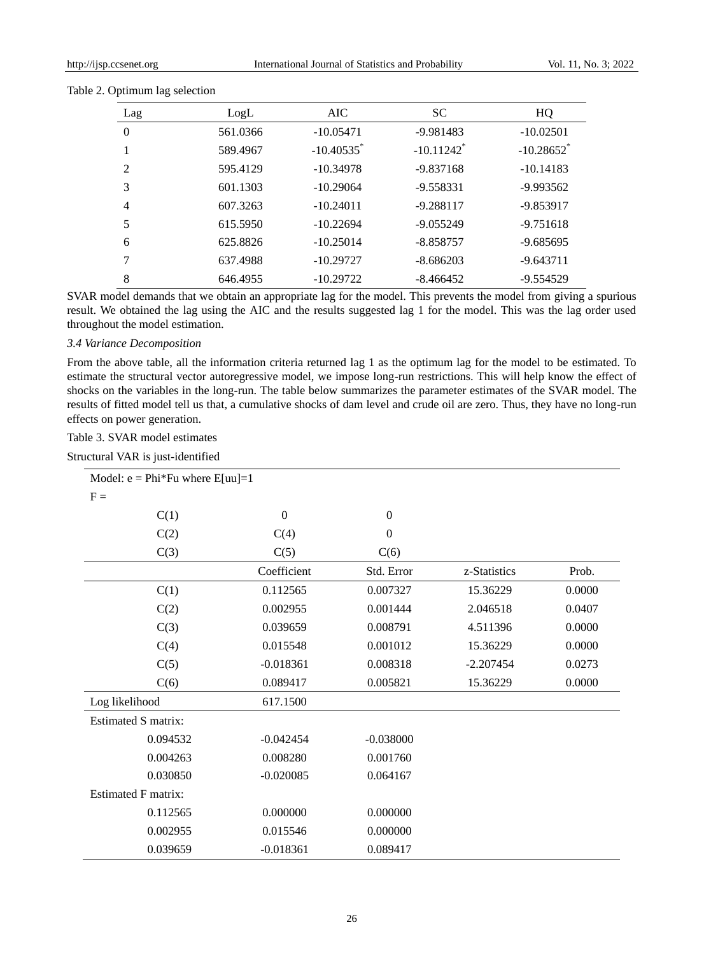| Lag            | LogL     | AIC.                     | <b>SC</b>                | HQ                       |
|----------------|----------|--------------------------|--------------------------|--------------------------|
| $\Omega$       | 561.0366 | $-10.05471$              | $-9.981483$              | $-10.02501$              |
|                | 589.4967 | $-10.40535$ <sup>*</sup> | $-10.11242$ <sup>*</sup> | $-10.28652$ <sup>*</sup> |
| 2              | 595.4129 | $-10.34978$              | $-9.837168$              | $-10.14183$              |
| 3              | 601.1303 | $-10.29064$              | $-9.558331$              | $-9.993562$              |
| $\overline{4}$ | 607.3263 | $-10.24011$              | $-9.288117$              | -9.853917                |
| 5              | 615.5950 | $-10.22694$              | $-9.055249$              | $-9.751618$              |
| 6              | 625.8826 | $-10.25014$              | $-8.858757$              | $-9.685695$              |
| 7              | 637.4988 | $-10.29727$              | $-8.686203$              | $-9.643711$              |
| 8              | 646.4955 | $-10.29722$              | $-8.466452$              | $-9.554529$              |

#### Table 2. Optimum lag selection

SVAR model demands that we obtain an appropriate lag for the model. This prevents the model from giving a spurious result. We obtained the lag using the AIC and the results suggested lag 1 for the model. This was the lag order used throughout the model estimation.

## *3.4 Variance Decomposition*

From the above table, all the information criteria returned lag 1 as the optimum lag for the model to be estimated. To estimate the structural vector autoregressive model, we impose long-run restrictions. This will help know the effect of shocks on the variables in the long-run. The table below summarizes the parameter estimates of the SVAR model. The results of fitted model tell us that, a cumulative shocks of dam level and crude oil are zero. Thus, they have no long-run effects on power generation.

## Table 3. SVAR model estimates

Structural VAR is just-identified

| Model: $e = Phi*Fu$ where $E[uu]=1$ |                |                  |              |        |
|-------------------------------------|----------------|------------------|--------------|--------|
| $F =$                               |                |                  |              |        |
| C(1)                                | $\overline{0}$ | $\mathbf{0}$     |              |        |
| C(2)                                | C(4)           | $\boldsymbol{0}$ |              |        |
| C(3)                                | C(5)           | C(6)             |              |        |
|                                     | Coefficient    | Std. Error       | z-Statistics | Prob.  |
| C(1)                                | 0.112565       | 0.007327         | 15.36229     | 0.0000 |
| C(2)                                | 0.002955       | 0.001444         | 2.046518     | 0.0407 |
| C(3)                                | 0.039659       | 0.008791         | 4.511396     | 0.0000 |
| C(4)                                | 0.015548       | 0.001012         | 15.36229     | 0.0000 |
| C(5)                                | $-0.018361$    | 0.008318         | $-2.207454$  | 0.0273 |
| C(6)                                | 0.089417       | 0.005821         | 15.36229     | 0.0000 |
| Log likelihood                      | 617.1500       |                  |              |        |
| <b>Estimated S matrix:</b>          |                |                  |              |        |
| 0.094532                            | $-0.042454$    | $-0.038000$      |              |        |
| 0.004263                            | 0.008280       | 0.001760         |              |        |
| 0.030850                            | $-0.020085$    | 0.064167         |              |        |
| <b>Estimated F matrix:</b>          |                |                  |              |        |
| 0.112565                            | 0.000000       | 0.000000         |              |        |
| 0.002955                            | 0.015546       | 0.000000         |              |        |
| 0.039659                            | $-0.018361$    | 0.089417         |              |        |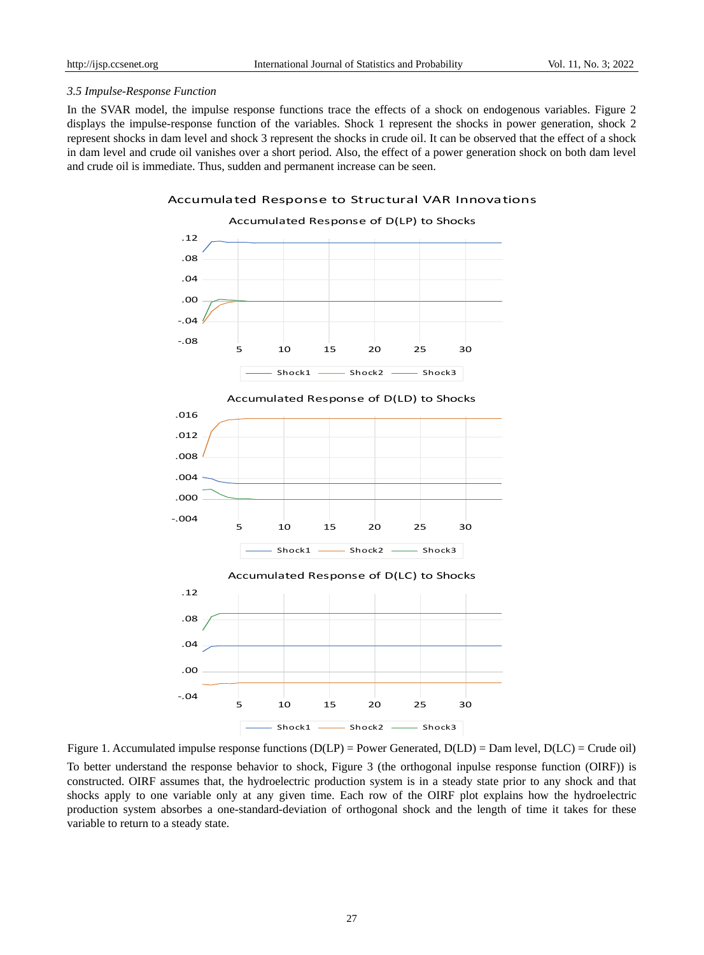## *3.5 Impulse-Response Function*

In the SVAR model, the impulse response functions trace the effects of a shock on endogenous variables. Figure 2 displays the impulse-response function of the variables. Shock 1 represent the shocks in power generation, shock 2 represent shocks in dam level and shock 3 represent the shocks in crude oil. It can be observed that the effect of a shock in dam level and crude oil vanishes over a short period. Also, the effect of a power generation shock on both dam level and crude oil is immediate. Thus, sudden and permanent increase can be seen.

## Accumulated Response to Structural VAR Innovations



Figure 1. Accumulated impulse response functions  $(D(LP))$  = Power Generated,  $D(LD)$  = Dam level,  $D(LC)$  = Crude oil) To better understand the response behavior to shock, Figure 3 (the orthogonal inpulse response function (OIRF)) is constructed. OIRF assumes that, the hydroelectric production system is in a steady state prior to any shock and that shocks apply to one variable only at any given time. Each row of the OIRF plot explains how the hydroelectric production system absorbes a one-standard-deviation of orthogonal shock and the length of time it takes for these variable to return to a steady state.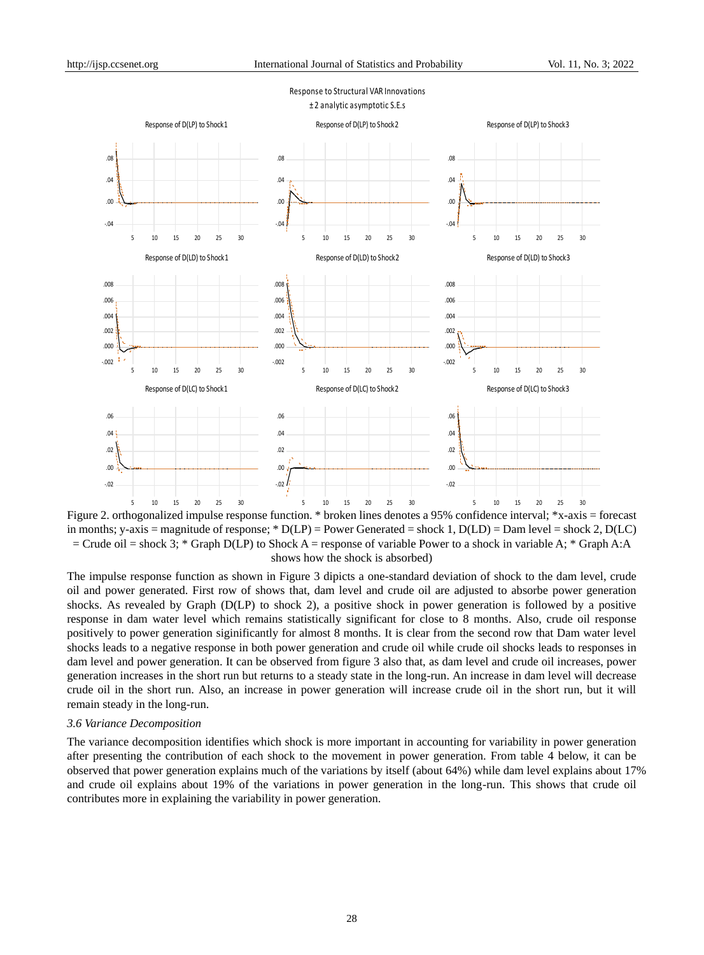Response to Structural VAR Innovations



Figure 2. orthogonalized impulse response function. \* broken lines denotes a 95% confidence interval; \*x-axis = forecast in months; y-axis = magnitude of response; \*  $D(LP)$  = Power Generated = shock 1,  $D(LD)$  = Dam level = shock 2,  $D(LC)$  $=$  Crude oil  $=$  shock 3; \* Graph D(LP) to Shock A  $=$  response of variable Power to a shock in variable A; \* Graph A:A shows how the shock is absorbed)

The impulse response function as shown in Figure 3 dipicts a one-standard deviation of shock to the dam level, crude oil and power generated. First row of shows that, dam level and crude oil are adjusted to absorbe power generation shocks. As revealed by Graph (D(LP) to shock 2), a positive shock in power generation is followed by a positive response in dam water level which remains statistically significant for close to 8 months. Also, crude oil response positively to power generation siginificantly for almost 8 months. It is clear from the second row that Dam water level shocks leads to a negative response in both power generation and crude oil while crude oil shocks leads to responses in dam level and power generation. It can be observed from figure 3 also that, as dam level and crude oil increases, power generation increases in the short run but returns to a steady state in the long-run. An increase in dam level will decrease crude oil in the short run. Also, an increase in power generation will increase crude oil in the short run, but it will remain steady in the long-run.

## *3.6 Variance Decomposition*

The variance decomposition identifies which shock is more important in accounting for variability in power generation after presenting the contribution of each shock to the movement in power generation. From table 4 below, it can be observed that power generation explains much of the variations by itself (about 64%) while dam level explains about 17% and crude oil explains about 19% of the variations in power generation in the long-run. This shows that crude oil contributes more in explaining the variability in power generation.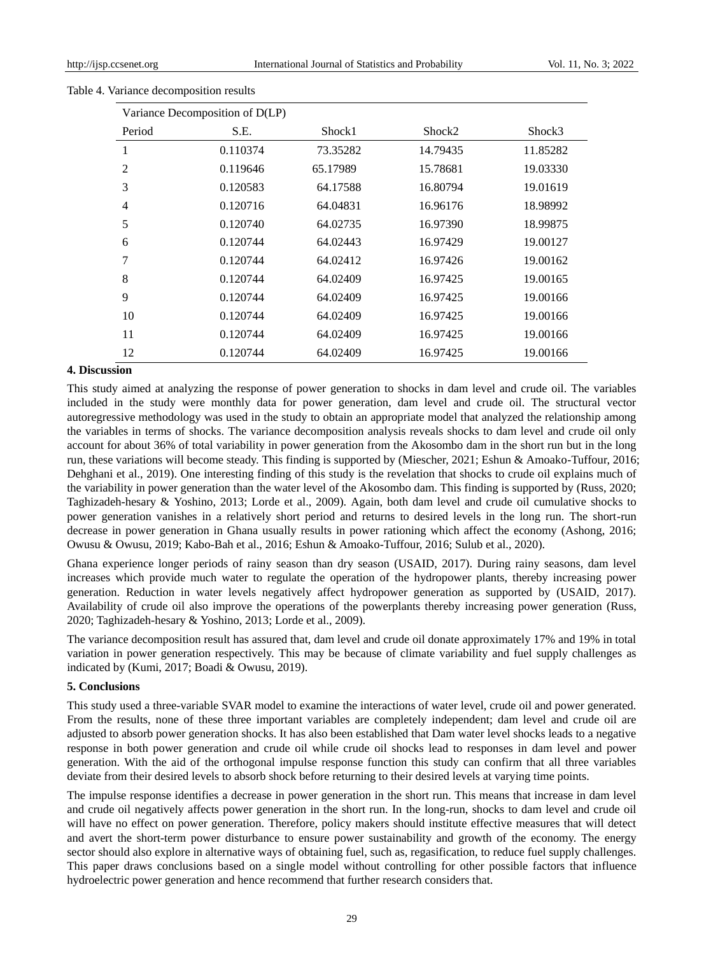| Variance Decomposition of D(LP) |          |          |          |          |  |  |
|---------------------------------|----------|----------|----------|----------|--|--|
| Period                          | S.E.     | Shock1   | Shock2   | Shock3   |  |  |
| 1                               | 0.110374 | 73.35282 | 14.79435 | 11.85282 |  |  |
| $\overline{2}$                  | 0.119646 | 65.17989 | 15.78681 | 19.03330 |  |  |
| 3                               | 0.120583 | 64.17588 | 16.80794 | 19.01619 |  |  |
| 4                               | 0.120716 | 64.04831 | 16.96176 | 18.98992 |  |  |
| 5                               | 0.120740 | 64.02735 | 16.97390 | 18.99875 |  |  |
| 6                               | 0.120744 | 64.02443 | 16.97429 | 19.00127 |  |  |
| 7                               | 0.120744 | 64.02412 | 16.97426 | 19.00162 |  |  |
| 8                               | 0.120744 | 64.02409 | 16.97425 | 19.00165 |  |  |
| 9                               | 0.120744 | 64.02409 | 16.97425 | 19.00166 |  |  |
| 10                              | 0.120744 | 64.02409 | 16.97425 | 19.00166 |  |  |
| 11                              | 0.120744 | 64.02409 | 16.97425 | 19.00166 |  |  |
| 12                              | 0.120744 | 64.02409 | 16.97425 | 19.00166 |  |  |

## Table 4. Variance decomposition results

## **4. Discussion**

This study aimed at analyzing the response of power generation to shocks in dam level and crude oil. The variables included in the study were monthly data for power generation, dam level and crude oil. The structural vector autoregressive methodology was used in the study to obtain an appropriate model that analyzed the relationship among the variables in terms of shocks. The variance decomposition analysis reveals shocks to dam level and crude oil only account for about 36% of total variability in power generation from the Akosombo dam in the short run but in the long run, these variations will become steady. This finding is supported by (Miescher, 2021; Eshun & Amoako-Tuffour, 2016; Dehghani et al., 2019). One interesting finding of this study is the revelation that shocks to crude oil explains much of the variability in power generation than the water level of the Akosombo dam. This finding is supported by (Russ, 2020; Taghizadeh-hesary & Yoshino, 2013; Lorde et al., 2009). Again, both dam level and crude oil cumulative shocks to power generation vanishes in a relatively short period and returns to desired levels in the long run. The short-run decrease in power generation in Ghana usually results in power rationing which affect the economy (Ashong, 2016; Owusu & Owusu, 2019; Kabo-Bah et al., 2016; Eshun & Amoako-Tuffour, 2016; Sulub et al., 2020).

Ghana experience longer periods of rainy season than dry season (USAID, 2017). During rainy seasons, dam level increases which provide much water to regulate the operation of the hydropower plants, thereby increasing power generation. Reduction in water levels negatively affect hydropower generation as supported by (USAID, 2017). Availability of crude oil also improve the operations of the powerplants thereby increasing power generation (Russ, 2020; Taghizadeh-hesary & Yoshino, 2013; Lorde et al., 2009).

The variance decomposition result has assured that, dam level and crude oil donate approximately 17% and 19% in total variation in power generation respectively. This may be because of climate variability and fuel supply challenges as indicated by (Kumi, 2017; Boadi & Owusu, 2019).

## **5. Conclusions**

This study used a three-variable SVAR model to examine the interactions of water level, crude oil and power generated. From the results, none of these three important variables are completely independent; dam level and crude oil are adjusted to absorb power generation shocks. It has also been established that Dam water level shocks leads to a negative response in both power generation and crude oil while crude oil shocks lead to responses in dam level and power generation. With the aid of the orthogonal impulse response function this study can confirm that all three variables deviate from their desired levels to absorb shock before returning to their desired levels at varying time points.

The impulse response identifies a decrease in power generation in the short run. This means that increase in dam level and crude oil negatively affects power generation in the short run. In the long-run, shocks to dam level and crude oil will have no effect on power generation. Therefore, policy makers should institute effective measures that will detect and avert the short-term power disturbance to ensure power sustainability and growth of the economy. The energy sector should also explore in alternative ways of obtaining fuel, such as, regasification, to reduce fuel supply challenges. This paper draws conclusions based on a single model without controlling for other possible factors that influence hydroelectric power generation and hence recommend that further research considers that.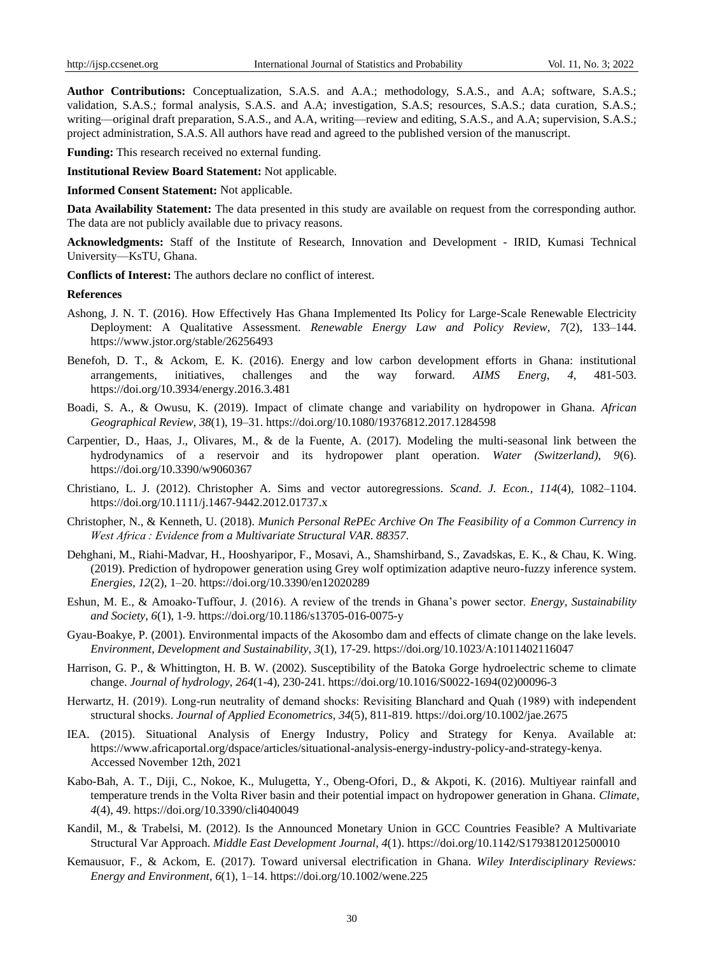**Author Contributions:** Conceptualization, S.A.S. and A.A.; methodology, S.A.S., and A.A; software, S.A.S.; validation, S.A.S.; formal analysis, S.A.S. and A.A; investigation, S.A.S; resources, S.A.S.; data curation, S.A.S.; writing—original draft preparation, S.A.S., and A.A, writing—review and editing, S.A.S., and A.A; supervision, S.A.S.; project administration, S.A.S. All authors have read and agreed to the published version of the manuscript.

**Funding:** This research received no external funding.

**Institutional Review Board Statement:** Not applicable.

**Informed Consent Statement:** Not applicable.

**Data Availability Statement:** The data presented in this study are available on request from the corresponding author. The data are not publicly available due to privacy reasons.

**Acknowledgments:** Staff of the Institute of Research, Innovation and Development - IRID, Kumasi Technical University—KsTU, Ghana.

**Conflicts of Interest:** The authors declare no conflict of interest.

## **References**

- Ashong, J. N. T. (2016). How Effectively Has Ghana Implemented Its Policy for Large-Scale Renewable Electricity Deployment: A Qualitative Assessment. *Renewable Energy Law and Policy Review*, *7*(2), 133–144. https://www.jstor.org/stable/26256493
- Benefoh, D. T., & Ackom, E. K. (2016). Energy and low carbon development efforts in Ghana: institutional arrangements, initiatives, challenges and the way forward. *AIMS Energ*, *4*, 481-503. <https://doi.org/10.3934/energy.2016.3.481>
- Boadi, S. A., & Owusu, K. (2019). Impact of climate change and variability on hydropower in Ghana. *African Geographical Review*, *38*(1), 19–31.<https://doi.org/10.1080/19376812.2017.1284598>
- Carpentier, D., Haas, J., Olivares, M., & de la Fuente, A. (2017). Modeling the multi-seasonal link between the hydrodynamics of a reservoir and its hydropower plant operation. *Water (Switzerland)*, *9*(6). https://doi.org/10.3390/w9060367
- Christiano, L. J. (2012). Christopher A. Sims and vector autoregressions. *Scand. J. Econ., 114*(4), 1082–1104. <https://doi.org/10.1111/j.1467-9442.2012.01737.x>
- Christopher, N., & Kenneth, U. (2018). *Munich Personal RePEc Archive On The Feasibility of a Common Currency in West Africa : Evidence from a Multivariate Structural VAR*. *88357*.
- Dehghani, M., Riahi-Madvar, H., Hooshyaripor, F., Mosavi, A., Shamshirband, S., Zavadskas, E. K., & Chau, K. Wing. (2019). Prediction of hydropower generation using Grey wolf optimization adaptive neuro-fuzzy inference system. *Energies*, *12*(2), 1–20. https://doi.org/10.3390/en12020289
- Eshun, M. E., & Amoako-Tuffour, J. (2016). A review of the trends in Ghana's power sector. *Energy, Sustainability and Society*, *6*(1), 1-9.<https://doi.org/10.1186/s13705-016-0075-y>
- Gyau-Boakye, P. (2001). Environmental impacts of the Akosombo dam and effects of climate change on the lake levels. *Environment, Development and Sustainability*, *3*(1), 17-29. <https://doi.org/10.1023/A:1011402116047>
- Harrison, G. P., & Whittington, H. B. W. (2002). Susceptibility of the Batoka Gorge hydroelectric scheme to climate change. *Journal of hydrology*, *264*(1-4), 230-241. [https://doi.org/10.1016/S0022-1694\(02\)00096-3](https://doi.org/10.1016/S0022-1694(02)00096-3)
- Herwartz, H. (2019). Long-run neutrality of demand shocks: Revisiting Blanchard and Quah (1989) with independent structural shocks. *Journal of Applied Econometrics*, *34*(5), 811-819. <https://doi.org/10.1002/jae.2675>
- IEA. (2015). Situational Analysis of Energy Industry, Policy and Strategy for Kenya. Available at: [https://www.africaportal.org/dspace/articles/situational-analys](https://www.africaportal.org/dspace/articles/situational-analy)is-energy-industry-policy-and-strategy-kenya. Accessed November 12th, 2021
- Kabo-Bah, A. T., Diji, C., Nokoe, K., Mulugetta, Y., Obeng-Ofori, D., & Akpoti, K. (2016). Multiyear rainfall and temperature trends in the Volta River basin and their potential impact on hydropower generation in Ghana. *Climate*, *4*(4), 49. <https://doi.org/10.3390/cli4040049>
- Kandil, M., & Trabelsi, M. (2012). Is the Announced Monetary Union in GCC Countries Feasible? A Multivariate Structural Var Approach. *Middle East Development Journal*, *4*(1)[. https://doi.org/10.1142/S1793812012500010](https://doi.org/10.1142/S1793812012500010)
- Kemausuor, F., & Ackom, E. (2017). Toward universal electrification in Ghana. *Wiley Interdisciplinary Reviews: Energy and Environment*, *6*(1), 1–14. https://doi.org/10.1002/wene.225